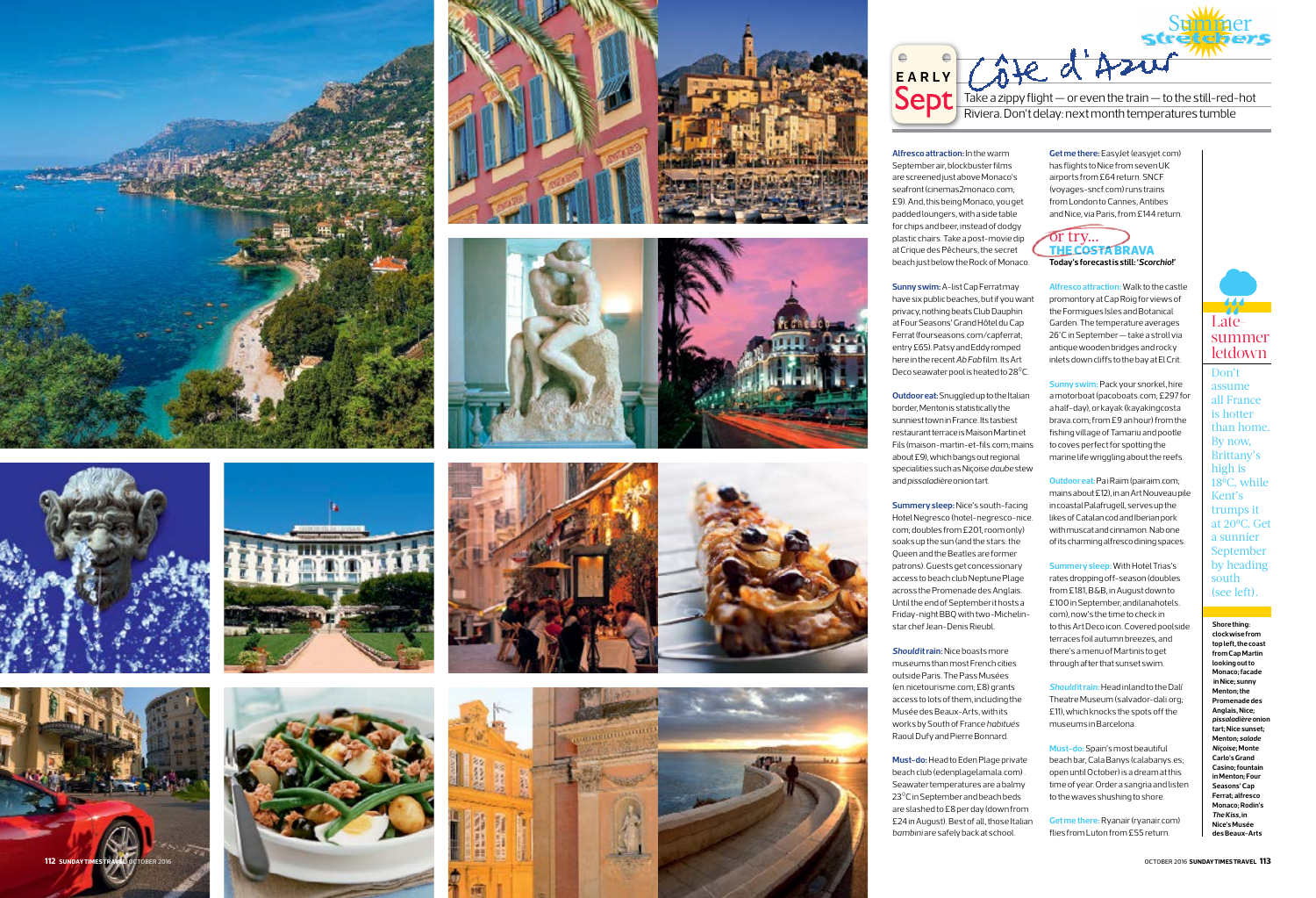





















**Sunny swim:**A-list Cap Ferrat may have six public beaches, but if you want privacy, nothing beats Club Dauphin at Four Seasons' Grand Hôtel du Cap Ferrat (fourseasons.com/capferrat; entry £65). Patsy and Eddy romped here in the recent *Ab Fab* film. Its Art Deco seawater pool is heated to 28<sup>°</sup>C.

**Alfresco attraction:**In the warm September air, blockbuster films are screened just above Monaco's seafront [\(cinemas2monaco.com](http://www.cinemas2monaco.com); £9). And, this being Monaco, you get padded loungers, with a side table for chips and beer, instead of dodgy plastic chairs. Take a post-movie dip at Crique des Pêcheurs, the secret beach just below the Rock of Monaco.

**Outdoor eat:** Snuggled up to the Italian border, Menton is statistically the sunniest town in France. Its tastiest restaurant terrace is Maison Martin et Fils (maison-martin-et-fils.com; mains about £9), which bangs out regional specialities such as Niçoise *daube* stew and *pissaladière* onion tart.

**Summery sleep:** Nice's south-facing Hotel Negresco (hotel-negresco-nice. com; doubles from £201, room only) soaks up the sun (and the stars: the Queen and the Beatles are former patrons). Guests get concessionary access to beach club Neptune Plage across the Promenade des Anglais. Until the end of September it hosts a Friday-night BBQ with two-Michelin**Sunny swim: Pack your snorkel, hire** a motorboat (pacoboats.com; £297 for a half-day), or kayak (kayakingcosta brava.com; from £9 an hour) from the fishing village of Tamariu and pootle to coves perfect for spotting the marine life wriggling about the reefs.

star chef Jean-Denis Rieubl.

*Should* **it rain:** Nice boasts more museums than most French cities outside Paris. The Pass Musées (en.nicetourisme.com; £8) grants access to lots of them, including the Musée des Beaux-Arts, with its works by South of France *habitués* Raoul Dufy and Pierre Bonnard.

**Must-do:** Head to Eden Plage private beach club (edenplagelamala.com) . Seawater temperatures are a balmy 23 0C in September and beach beds are slashed to £8 per day (down from £24 in August). Best of all, those Italian *bambini* are safely back at school.

**Get me there:** EasyJet (easyjet.com) has flights to Nice from seven UK airports from £64 return. SNCF (voyages-sncf.com) runs trains from London to Cannes, Antibes and Nice, via Paris, from £144 return.

# or try... **THE COSTA BRAVA Today's forecast is still: '***Scorchio***!'**



**Alfresco attraction:** Walk to the castle promontory at Cap Roig for views of the Formigues Isles and Botanical Garden. The temperature averages 26°C in September — take a stroll via antique wooden bridges and rocky inlets down cliffs to the bay at El Crit.

**Outdoor eat:** Pa i Raïm [\(pairaim.com;](http://pairaim.com/) mains about £12), in an Art Nouveau pile in coastal Palafrugell, serves up the likes of Catalan cod and Iberian pork with muscat and cinnamon. Nab one of its charming alfresco dining spaces.

**Summery sleep:** With Hotel Trias's rates dropping off-season (doubles from £181, B&B, in August down to £100 in September; [andilanahotels.](http://andilanahotels.com/) [com](http://andilanahotels.com/)), now's the time to check in to this Art Deco icon. Covered poolside terraces foil autumn breezes, and there's a menu of Martinis to get through after that sunset swim.

*Should* **it rain:** Head inland to the Dalí Theatre Museum ([salvador-dali.org;](http://salvador-dali.org/) £11), which knocks the spots off the museums in Barcelona.

**Must-do:** Spain's most beautiful beach bar, Cala Banys [\(calabanys.es;](http://calabanys.es/) open until October) is a dream at this time of year. Order a sangria and listen to the waves shushing to shore.

**Get me there:** Ryanair (ryanair.com) flies from Luton from £55 return.

# **Shore thing: clockwise from top left, the coast from Cap Martin looking out to Monaco; facade in Nice; sunny Menton; the Promenade des Anglais, Nice;**  *pissaladière* **onion tart; Nice sunset; Menton;** *salade Niçoise***; Monte Carlo's Grand Casino; fountain in Menton; Four Seasons' Cap Ferrat; alfresco Monaco; Rodin's**  *The Kiss***, in Nice's Musée des Beaux-Arts**

Don't assume all France is hotter than home. By now, Brittany's high is 18 0C, while Kent's trumps it at 20 0C. Get a sunnier September by heading south (see left).

# Late-

# summer letdown